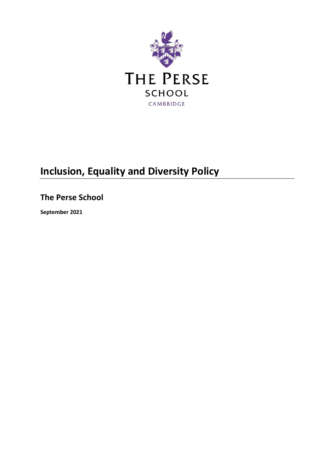

# **Inclusion, Equality and Diversity Policy**

**The Perse School**

**September 2021**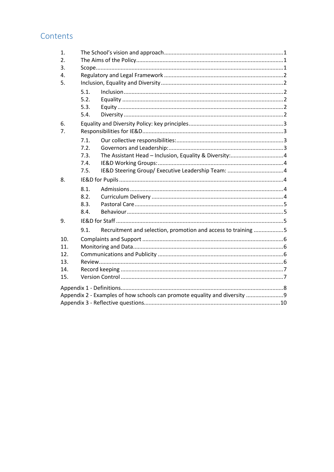# Contents

| 1.                                                                        |      |                                                               |  |  |
|---------------------------------------------------------------------------|------|---------------------------------------------------------------|--|--|
| 2.                                                                        |      |                                                               |  |  |
| 3.                                                                        |      |                                                               |  |  |
| 4.                                                                        |      |                                                               |  |  |
| 5.                                                                        |      |                                                               |  |  |
|                                                                           | 5.1. |                                                               |  |  |
|                                                                           | 5.2. |                                                               |  |  |
|                                                                           | 5.3. |                                                               |  |  |
|                                                                           | 5.4. |                                                               |  |  |
| 6.                                                                        |      |                                                               |  |  |
| 7 <sub>1</sub>                                                            |      |                                                               |  |  |
|                                                                           | 7.1. |                                                               |  |  |
|                                                                           | 7.2. |                                                               |  |  |
|                                                                           | 7.3. |                                                               |  |  |
|                                                                           | 7.4. |                                                               |  |  |
|                                                                           | 7.5. |                                                               |  |  |
| 8.                                                                        |      |                                                               |  |  |
|                                                                           | 8.1. |                                                               |  |  |
|                                                                           | 8.2. |                                                               |  |  |
|                                                                           | 8.3. |                                                               |  |  |
|                                                                           | 8.4. |                                                               |  |  |
| 9.                                                                        |      |                                                               |  |  |
|                                                                           | 9.1. | Recruitment and selection, promotion and access to training 5 |  |  |
| 10.                                                                       |      |                                                               |  |  |
| 11.                                                                       |      |                                                               |  |  |
| 12.                                                                       |      |                                                               |  |  |
| 13.                                                                       |      |                                                               |  |  |
| 14.                                                                       |      |                                                               |  |  |
| 15.                                                                       |      |                                                               |  |  |
|                                                                           |      |                                                               |  |  |
| Appendix 2 - Examples of how schools can promote equality and diversity 9 |      |                                                               |  |  |
|                                                                           |      |                                                               |  |  |
|                                                                           |      |                                                               |  |  |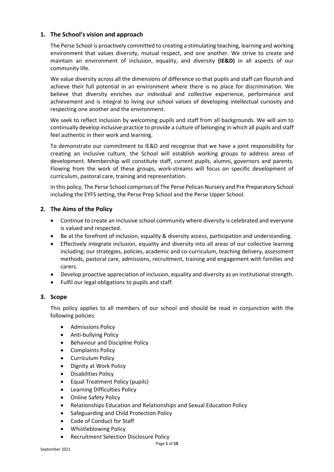## <span id="page-2-0"></span>**1. The School's vision and approach**

The Perse School is proactively committed to creating a stimulating teaching, learning and working environment that values diversity, mutual respect, and one another. We strive to create and maintain an environment of inclusion, equality, and diversity **(IE&D)** in all aspects of our community life.

We value diversity across all the dimensions of difference so that pupils and staff can flourish and achieve their full potential in an environment where there is no place for discrimination. We believe that diversity enriches our individual and collective experience, performance and achievement and is integral to living our school values of developing intellectual curiosity and respecting one another and the environment.

We seek to reflect inclusion by welcoming pupils and staff from all backgrounds. We will aim to continually develop inclusive practice to provide a culture of belonging in which all pupils and staff feel authentic in their work and learning.

To demonstrate our commitment to IE&D and recognise that we have a joint responsibility for creating an inclusive culture, the School will establish working groups to address areas of development. Membership will constitute staff, current pupils, alumni, governors and parents. Flowing from the work of these groups, work-streams will focus on specific development of curriculum, pastoral care, training and representation.

In this policy, The Perse School comprises of The Perse Pelican Nursery and Pre Preparatory School including the EYFS setting, the Perse Prep School and the Perse Upper School.

### <span id="page-2-1"></span>**2. The Aims of the Policy**

- Continue to create an inclusive school community where diversity is celebrated and everyone is valued and respected.
- Be at the forefront of inclusion, equality & diversity access, participation and understanding.
- Effectively integrate inclusion, equality and diversity into all areas of our collective learning including; our strategies, policies, academic and co-curriculum, teaching delivery, assessment methods, pastoral care, admissions, recruitment, training and engagement with families and carers.
- Develop proactive appreciation of inclusion, equality and diversity as an institutional strength.
- Fulfil our legal obligations to pupils and staff.

#### <span id="page-2-2"></span>**3. Scope**

This policy applies to all members of our school and should be read in conjunction with the following policies:

- Admissions Policy
- Anti-bullying Policy
- Behaviour and Discipline Policy
- Complaints Policy
- Curriculum Policy
- Dignity at Work Policy
- Disabilities Policy
- Equal Treatment Policy (pupils)
- Learning Difficulties Policy
- Online Safety Policy
- Relationships Education and Relationships and Sexual Education Policy
- Safeguarding and Child Protection Policy
- Code of Conduct for Staff
- Whistleblowing Policy
- Recruitment Selection Disclosure Policy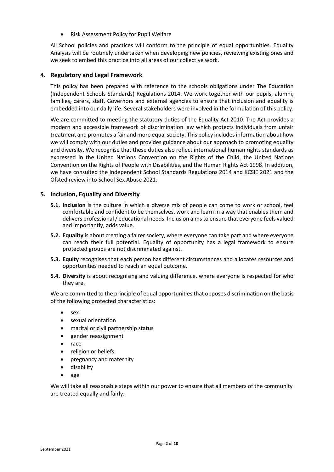Risk Assessment Policy for Pupil Welfare

All School policies and practices will conform to the principle of equal opportunities. Equality Analysis will be routinely undertaken when developing new policies, reviewing existing ones and we seek to embed this practice into all areas of our collective work.

### <span id="page-3-0"></span>**4. Regulatory and Legal Framework**

This policy has been prepared with reference to the schools obligations under The Education (Independent Schools Standards) Regulations 2014. We work together with our pupils, alumni, families, carers, staff, Governors and external agencies to ensure that inclusion and equality is embedded into our daily life. Several stakeholders were involved in the formulation of this policy.

We are committed to meeting the statutory duties of the Equality Act 2010. The Act provides a modern and accessible framework of discrimination law which protects individuals from unfair treatment and promotes a fair and more equal society. This policy includes information about how we will comply with our duties and provides guidance about our approach to promoting equality and diversity. We recognise that these duties also reflect international human rights standards as expressed in the United Nations Convention on the Rights of the Child, the United Nations Convention on the Rights of People with Disabilities, and the Human Rights Act 1998. In addition, we have consulted the Independent School Standards Regulations 2014 and KCSIE 2021 and the Ofsted review into School Sex Abuse 2021.

### <span id="page-3-2"></span><span id="page-3-1"></span>**5. Inclusion, Equality and Diversity**

- **5.1. Inclusion** is the culture in which a diverse mix of people can come to work or school, feel comfortable and confident to be themselves, work and learn in a way that enables them and delivers professional / educational needs. Inclusion aims to ensure that everyone feels valued and importantly, adds value.
- <span id="page-3-3"></span>**5.2. Equality** is about creating a fairer society, where everyone can take part and where everyone can reach their full potential. Equality of opportunity has a legal framework to ensure protected groups are not discriminated against.
- <span id="page-3-4"></span>**5.3. Equity** recognises that each person has different circumstances and allocates resources and opportunities needed to reach an equal outcome.
- <span id="page-3-5"></span>**5.4. Diversity** is about recognising and valuing difference, where everyone is respected for who they are.

We are committed to the principle of equal opportunities that opposes discrimination on the basis of the following protected characteristics:

- sex
- sexual orientation
- marital or civil partnership status
- gender reassignment
- race
- religion or beliefs
- pregnancy and maternity
- disability
- age

We will take all reasonable steps within our power to ensure that all members of the community are treated equally and fairly.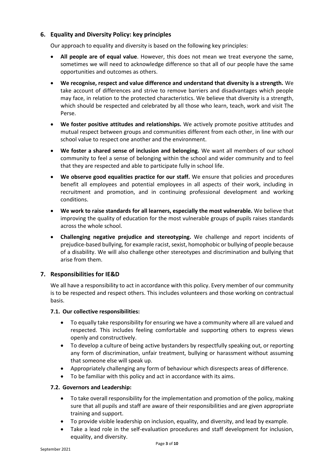# <span id="page-4-0"></span>**6. Equality and Diversity Policy: key principles**

Our approach to equality and diversity is based on the following key principles:

- **All people are of equal value**. However, this does not mean we treat everyone the same, sometimes we will need to acknowledge difference so that all of our people have the same opportunities and outcomes as others.
- **We recognise, respect and value difference and understand that diversity is a strength.** We take account of differences and strive to remove barriers and disadvantages which people may face, in relation to the protected characteristics. We believe that diversity is a strength, which should be respected and celebrated by all those who learn, teach, work and visit The Perse.
- **We foster positive attitudes and relationships.** We actively promote positive attitudes and mutual respect between groups and communities different from each other, in line with our school value to respect one another and the environment.
- **We foster a shared sense of inclusion and belonging.** We want all members of our school community to feel a sense of belonging within the school and wider community and to feel that they are respected and able to participate fully in school life.
- **We observe good equalities practice for our staff.** We ensure that policies and procedures benefit all employees and potential employees in all aspects of their work, including in recruitment and promotion, and in continuing professional development and working conditions.
- **We work to raise standards for all learners, especially the most vulnerable.** We believe that improving the quality of education for the most vulnerable groups of pupils raises standards across the whole school.
- **Challenging negative prejudice and stereotyping.** We challenge and report incidents of prejudice-based bullying, for example racist, sexist, homophobic or bullying of people because of a disability. We will also challenge other stereotypes and discrimination and bullying that arise from them.

# <span id="page-4-1"></span>**7. Responsibilities for IE&D**

We all have a responsibility to act in accordance with this policy. Every member of our community is to be respected and respect others. This includes volunteers and those working on contractual basis.

# <span id="page-4-2"></span>**7.1. Our collective responsibilities:**

- To equally take responsibility for ensuring we have a community where all are valued and respected. This includes feeling comfortable and supporting others to express views openly and constructively.
- To develop a culture of being active bystanders by respectfully speaking out, or reporting any form of discrimination, unfair treatment, bullying or harassment without assuming that someone else will speak up.
- Appropriately challenging any form of behaviour which disrespects areas of difference.
- To be familiar with this policy and act in accordance with its aims.

# <span id="page-4-3"></span>**7.2. Governors and Leadership:**

- To take overall responsibility for the implementation and promotion of the policy, making sure that all pupils and staff are aware of their responsibilities and are given appropriate training and support.
- To provide visible leadership on inclusion, equality, and diversity, and lead by example.
- Take a lead role in the self-evaluation procedures and staff development for inclusion, equality, and diversity.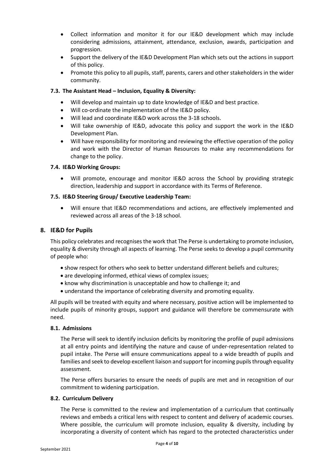- Collect information and monitor it for our IE&D development which may include considering admissions, attainment, attendance, exclusion, awards, participation and progression.
- Support the delivery of the IE&D Development Plan which sets out the actions in support of this policy.
- Promote this policy to all pupils, staff, parents, carers and other stakeholders in the wider community.

#### <span id="page-5-0"></span>**7.3. The Assistant Head – Inclusion, Equality & Diversity:**

- Will develop and maintain up to date knowledge of IE&D and best practice.
- Will co-ordinate the implementation of the IE&D policy.
- Will lead and coordinate IE&D work across the 3-18 schools.
- Will take ownership of IE&D, advocate this policy and support the work in the IE&D Development Plan.
- Will have responsibility for monitoring and reviewing the effective operation of the policy and work with the Director of Human Resources to make any recommendations for change to the policy.

#### <span id="page-5-1"></span>**7.4. IE&D Working Groups:**

 Will promote, encourage and monitor IE&D across the School by providing strategic direction, leadership and support in accordance with its Terms of Reference.

#### <span id="page-5-2"></span>**7.5. IE&D Steering Group/ Executive Leadership Team:**

 Will ensure that IE&D recommendations and actions, are effectively implemented and reviewed across all areas of the 3-18 school.

#### <span id="page-5-3"></span>**8. IE&D for Pupils**

This policy celebrates and recognises the work that The Perse is undertaking to promote inclusion, equality & diversity through all aspects of learning. The Perse seeks to develop a pupil community of people who:

- show respect for others who seek to better understand different beliefs and cultures;
- are developing informed, ethical views of complex issues;
- know why discrimination is unacceptable and how to challenge it; and
- understand the importance of celebrating diversity and promoting equality.

All pupils will be treated with equity and where necessary, positive action will be implemented to include pupils of minority groups, support and guidance will therefore be commensurate with need.

#### <span id="page-5-4"></span>**8.1. Admissions**

The Perse will seek to identify inclusion deficits by monitoring the profile of pupil admissions at all entry points and identifying the nature and cause of under-representation related to pupil intake. The Perse will ensure communications appeal to a wide breadth of pupils and families and seek to develop excellent liaison and support for incoming pupils through equality assessment.

The Perse offers bursaries to ensure the needs of pupils are met and in recognition of our commitment to widening participation.

#### <span id="page-5-5"></span>**8.2. Curriculum Delivery**

The Perse is committed to the review and implementation of a curriculum that continually reviews and embeds a critical lens with respect to content and delivery of academic courses. Where possible, the curriculum will promote inclusion, equality & diversity, including by incorporating a diversity of content which has regard to the protected characteristics under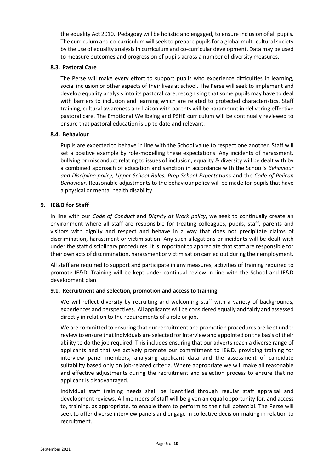the equality Act 2010. Pedagogy will be holistic and engaged, to ensure inclusion of all pupils. The curriculum and co-curriculum will seek to prepare pupils for a global multi-cultural society by the use of equality analysis in curriculum and co-curricular development. Data may be used to measure outcomes and progression of pupils across a number of diversity measures.

### <span id="page-6-0"></span>**8.3. Pastoral Care**

The Perse will make every effort to support pupils who experience difficulties in learning, social inclusion or other aspects of their lives at school. The Perse will seek to implement and develop equality analysis into its pastoral care, recognising that some pupils may have to deal with barriers to inclusion and learning which are related to protected characteristics. Staff training, cultural awareness and liaison with parents will be paramount in delivering effective pastoral care. The Emotional Wellbeing and PSHE curriculum will be continually reviewed to ensure that pastoral education is up to date and relevant.

### <span id="page-6-1"></span>**8.4. Behaviour**

Pupils are expected to behave in line with the School value to respect one another. Staff will set a positive example by role-modelling these expectations. Any incidents of harassment, bullying or misconduct relating to issues of inclusion, equality & diversity will be dealt with by a combined approach of education and sanction in accordance with the School's *Behaviour and Discipline policy*, *Upper School Rules*, *Prep School Expectations* and the *Code of Pelican Behaviour*. Reasonable adjustments to the behaviour policy will be made for pupils that have a physical or mental health disability.

# <span id="page-6-2"></span>**9. IE&D for Staff**

In line with our *Code of Conduct* and *Dignity at Work policy*, we seek to continually create an environment where all staff are responsible for treating colleagues, pupils, staff, parents and visitors with dignity and respect and behave in a way that does not precipitate claims of discrimination, harassment or victimisation. Any such allegations or incidents will be dealt with under the staff disciplinary procedures. It is important to appreciate that staff are responsible for their own acts of discrimination, harassment or victimisation carried out during their employment.

All staff are required to support and participate in any measures, activities of training required to promote IE&D. Training will be kept under continual review in line with the School and IE&D development plan.

#### <span id="page-6-3"></span>**9.1. Recruitment and selection, promotion and access to training**

We will reflect diversity by recruiting and welcoming staff with a variety of backgrounds, experiences and perspectives. All applicants will be considered equally and fairly and assessed directly in relation to the requirements of a role or job.

We are committed to ensuring that our recruitment and promotion procedures are kept under review to ensure that individuals are selected for interview and appointed on the basis of their ability to do the job required. This includes ensuring that our adverts reach a diverse range of applicants and that we actively promote our commitment to IE&D, providing training for interview panel members, analysing applicant data and the assessment of candidate suitability based only on job-related criteria. Where appropriate we will make all reasonable and effective adjustments during the recruitment and selection process to ensure that no applicant is disadvantaged.

Individual staff training needs shall be identified through regular staff appraisal and development reviews. All members of staff will be given an equal opportunity for, and access to, training, as appropriate, to enable them to perform to their full potential. The Perse will seek to offer diverse interview panels and engage in collective decision-making in relation to recruitment.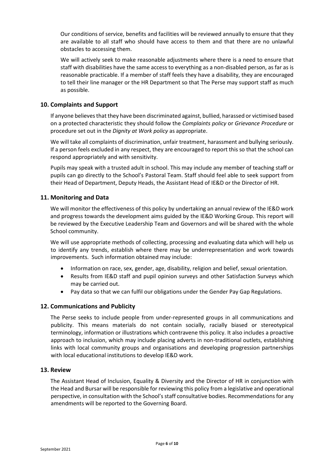Our conditions of service, benefits and facilities will be reviewed annually to ensure that they are available to all staff who should have access to them and that there are no unlawful obstacles to accessing them.

We will actively seek to make reasonable adjustments where there is a need to ensure that staff with disabilities have the same access to everything as a non-disabled person, as far as is reasonable practicable. If a member of staff feels they have a disability, they are encouraged to tell their line manager or the HR Department so that The Perse may support staff as much as possible.

# <span id="page-7-0"></span>**10. Complaints and Support**

If anyone believes that they have been discriminated against, bullied, harassed or victimised based on a protected characteristic they should follow the *Complaints policy* or *Grievance Procedure* or procedure set out in the *Dignity at Work policy* as appropriate.

We will take all complaints of discrimination, unfair treatment, harassment and bullying seriously. If a person feels excluded in any respect, they are encouraged to report this so that the school can respond appropriately and with sensitivity.

Pupils may speak with a trusted adult in school. This may include any member of teaching staff or pupils can go directly to the School's Pastoral Team. Staff should feel able to seek support from their Head of Department, Deputy Heads, the Assistant Head of IE&D or the Director of HR.

### <span id="page-7-1"></span>**11. Monitoring and Data**

We will monitor the effectiveness of this policy by undertaking an annual review of the IE&D work and progress towards the development aims guided by the IE&D Working Group. This report will be reviewed by the Executive Leadership Team and Governors and will be shared with the whole School community.

We will use appropriate methods of collecting, processing and evaluating data which will help us to identify any trends, establish where there may be underrepresentation and work towards improvements. Such information obtained may include:

- Information on race, sex, gender, age, disability, religion and belief, sexual orientation.
- Results from IE&D staff and pupil opinion surveys and other Satisfaction Surveys which may be carried out.
- Pay data so that we can fulfil our obligations under the Gender Pay Gap Regulations.

#### <span id="page-7-2"></span>**12. Communications and Publicity**

The Perse seeks to include people from under-represented groups in all communications and publicity. This means materials do not contain socially, racially biased or stereotypical terminology, information or illustrations which contravene this policy. It also includes a proactive approach to inclusion, which may include placing adverts in non-traditional outlets, establishing links with local community groups and organisations and developing progression partnerships with local educational institutions to develop IE&D work.

#### <span id="page-7-3"></span>**13. Review**

The Assistant Head of Inclusion, Equality & Diversity and the Director of HR in conjunction with the Head and Bursar will be responsible for reviewing this policy from a legislative and operational perspective, in consultation with the School's staff consultative bodies. Recommendations for any amendments will be reported to the Governing Board.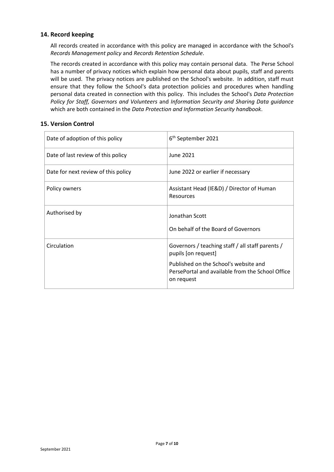# <span id="page-8-0"></span>**14. Record keeping**

All records created in accordance with this policy are managed in accordance with the School's *Records Management policy* and *Records Retention Schedule*.

The records created in accordance with this policy may contain personal data. The Perse School has a number of privacy notices which explain how personal data about pupils, staff and parents will be used. The privacy notices are published on the School's website. In addition, staff must ensure that they follow the School's data protection policies and procedures when handling personal data created in connection with this policy. This includes the School's *Data Protection Policy for Staff, Governors and Volunteers* and *Information Security and Sharing Data guidance* which are both contained in the *Data Protection and Information Security handbook*.

### <span id="page-8-1"></span>**15. Version Control**

| Date of adoption of this policy     | 6 <sup>th</sup> September 2021                                                                                                                                                     |  |
|-------------------------------------|------------------------------------------------------------------------------------------------------------------------------------------------------------------------------------|--|
| Date of last review of this policy  | June 2021                                                                                                                                                                          |  |
| Date for next review of this policy | June 2022 or earlier if necessary                                                                                                                                                  |  |
| Policy owners                       | Assistant Head (IE&D) / Director of Human<br><b>Resources</b>                                                                                                                      |  |
| Authorised by                       | Jonathan Scott<br>On behalf of the Board of Governors                                                                                                                              |  |
| Circulation                         | Governors / teaching staff / all staff parents /<br>pupils [on request]<br>Published on the School's website and<br>PersePortal and available from the School Office<br>on request |  |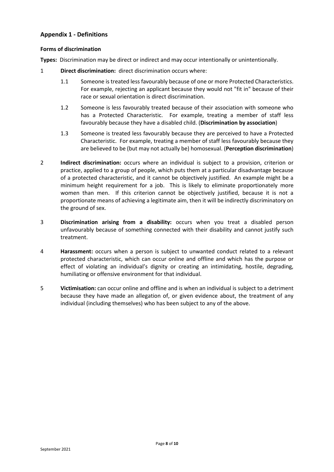# <span id="page-9-0"></span>**Appendix 1 - Definitions**

#### **Forms of discrimination**

**Types:** Discrimination may be direct or indirect and may occur intentionally or unintentionally.

- 1 **Direct discrimination:** direct discrimination occurs where:
	- 1.1 Someone is treated less favourably because of one or more Protected Characteristics. For example, rejecting an applicant because they would not "fit in" because of their race or sexual orientation is direct discrimination.
	- 1.2 Someone is less favourably treated because of their association with someone who has a Protected Characteristic. For example, treating a member of staff less favourably because they have a disabled child. (**Discrimination by association**)
	- 1.3 Someone is treated less favourably because they are perceived to have a Protected Characteristic. For example, treating a member of staff less favourably because they are believed to be (but may not actually be) homosexual. (**Perception discrimination**)
- 2 **Indirect discrimination:** occurs where an individual is subject to a provision, criterion or practice, applied to a group of people, which puts them at a particular disadvantage because of a protected characteristic, and it cannot be objectively justified. An example might be a minimum height requirement for a job. This is likely to eliminate proportionately more women than men. If this criterion cannot be objectively justified, because it is not a proportionate means of achieving a legitimate aim, then it will be indirectly discriminatory on the ground of sex.
- 3 **Discrimination arising from a disability:** occurs when you treat a disabled person unfavourably because of something connected with their disability and cannot justify such treatment.
- 4 **Harassment:** occurs when a person is subject to unwanted conduct related to a relevant protected characteristic, which can occur online and offline and which has the purpose or effect of violating an individual's dignity or creating an intimidating, hostile, degrading, humiliating or offensive environment for that individual.
- 5 **Victimisation:** can occur online and offline and is when an individual is subject to a detriment because they have made an allegation of, or given evidence about, the treatment of any individual (including themselves) who has been subject to any of the above.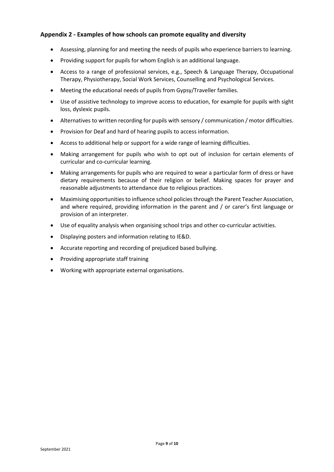# <span id="page-10-0"></span>**Appendix 2 - Examples of how schools can promote equality and diversity**

- Assessing, planning for and meeting the needs of pupils who experience barriers to learning.
- Providing support for pupils for whom English is an additional language.
- Access to a range of professional services, e.g., Speech & Language Therapy, Occupational Therapy, Physiotherapy, Social Work Services, Counselling and Psychological Services.
- Meeting the educational needs of pupils from Gypsy/Traveller families.
- Use of assistive technology to improve access to education, for example for pupils with sight loss, dyslexic pupils.
- Alternatives to written recording for pupils with sensory / communication / motor difficulties.
- Provision for Deaf and hard of hearing pupils to access information.
- Access to additional help or support for a wide range of learning difficulties.
- Making arrangement for pupils who wish to opt out of inclusion for certain elements of curricular and co-curricular learning.
- Making arrangements for pupils who are required to wear a particular form of dress or have dietary requirements because of their religion or belief. Making spaces for prayer and reasonable adjustments to attendance due to religious practices.
- Maximising opportunities to influence school policies through the Parent Teacher Association, and where required, providing information in the parent and / or carer's first language or provision of an interpreter.
- Use of equality analysis when organising school trips and other co-curricular activities.
- Displaying posters and information relating to IE&D.
- Accurate reporting and recording of prejudiced based bullying.
- Providing appropriate staff training
- Working with appropriate external organisations.